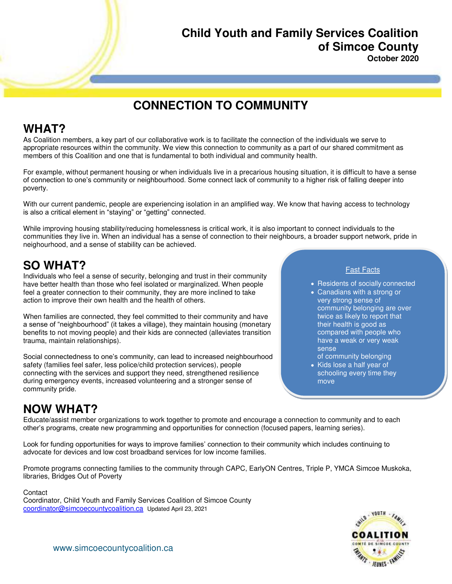# **Child Youth and Family Services Coalition of Simcoe County**

**October 2020** 

## **CONNECTION TO COMMUNITY**

### **WHAT?**

As Coalition members, a key part of our collaborative work is to facilitate the connection of the individuals we serve to appropriate resources within the community. We view this connection to community as a part of our shared commitment as members of this Coalition and one that is fundamental to both individual and community health.

For example, without permanent housing or when individuals live in a precarious housing situation, it is difficult to have a sense of connection to one's community or neighbourhood. Some connect lack of community to a higher risk of falling deeper into poverty.

With our current pandemic, people are experiencing isolation in an amplified way. We know that having access to technology is also a critical element in "staying" or "getting" connected.

While improving housing stability/reducing homelessness is critical work, it is also important to connect individuals to the communities they live in. When an individual has a sense of connection to their neighbours, a broader support network, pride in neighourhood, and a sense of stability can be achieved.

### **SO WHAT?**

Individuals who feel a sense of security, belonging and trust in their community have better health than those who feel isolated or marginalized. When people feel a greater connection to their community, they are more inclined to take action to improve their own health and the health of others.

When families are connected, they feel committed to their community and have a sense of "neighbourhood" (it takes a village), they maintain housing (monetary benefits to not moving people) and their kids are connected (alleviates transition trauma, maintain relationships).

Social connectedness to one's community, can lead to increased neighbourhood safety (families feel safer, less police/child protection services), people connecting with the services and support they need, strengthened resilience during emergency events, increased volunteering and a stronger sense of community pride.

#### Fast Facts

- Residents of socially connected
- Canadians with a strong or very strong sense of community belonging are over twice as likely to report that their health is good as compared with people who have a weak or very weak sense
	- of community belonging
- Kids lose a half year of schooling every time they move

## **NOW WHAT?**

Educate/assist member organizations to work together to promote and encourage a connection to community and to each other's programs, create new programming and opportunities for connection (focused papers, learning series).

Look for funding opportunities for ways to improve families' connection to their community which includes continuing to advocate for devices and low cost broadband services for low income families.

Promote programs connecting families to the community through CAPC, EarlyON Centres, Triple P, YMCA Simcoe Muskoka, libraries, Bridges Out of Poverty

**Contact** 

Coordinator, Child Youth and Family Services Coalition of Simcoe County [coordinator@simcoecountycoalition.ca](mailto:coordinator@simcoecountycoalition.ca) Updated April 23, 2021